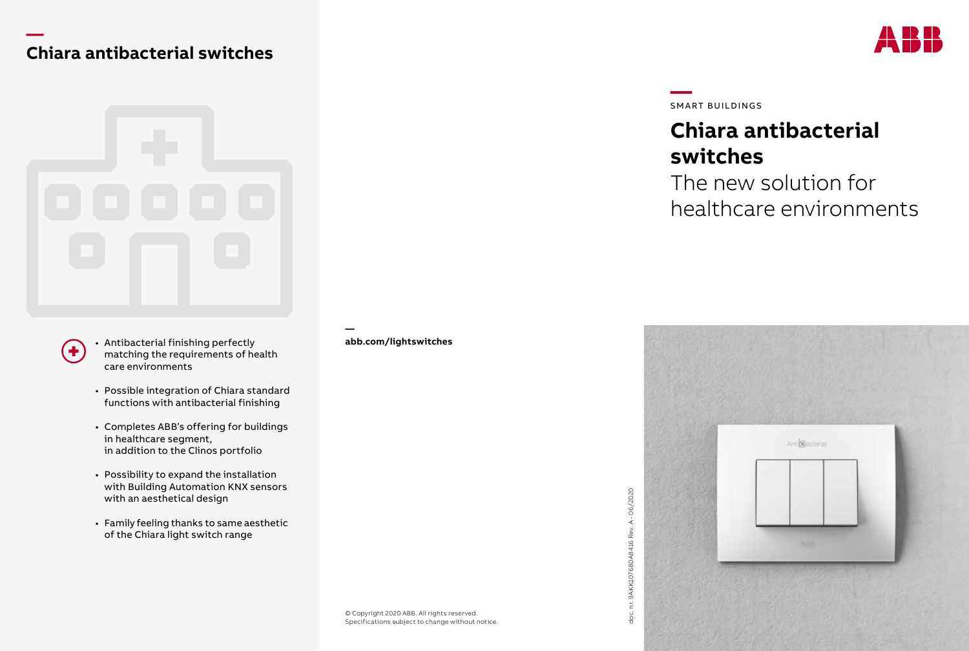### **— Chiara antibacterial switches**



• Antibacterial finishing perfectly matching the requirements of health care environments

 $\ddot{\phantom{1}}$ 

- Possible integration of Chiara standard functions with antibacterial finishing
- Completes ABB's offering for buildings in healthcare segment, in addition to the Clinos portfolio
- Possibility to expand the installation with Building Automation KNX sensors with an aesthetical design
- Family feeling thanks to same aesthetic of the Chiara light switch range

 **abb.com/lightswitches** **—**SMART BUILDINGS

doc. nr. 9AKK107680A8416 Rev. A - 06/2020

doc.

# **Chiara antibacterial switches**

The new solution for healthcare environments



© Copyright 2020 ABB. All rights reserved. Specifications subject to change without notice.